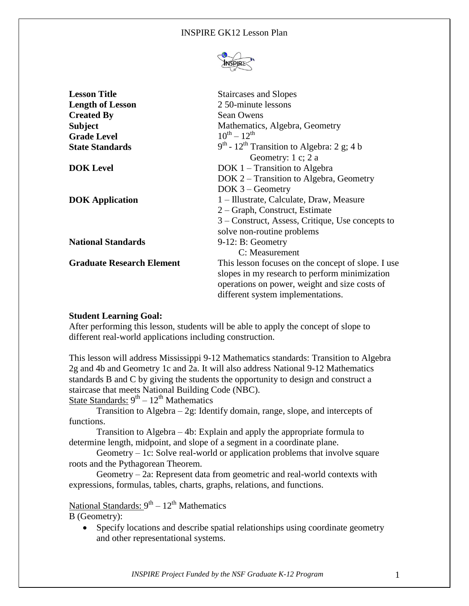#### INSPIRE GK12 Lesson Plan



| <b>Lesson Title</b>              | <b>Staircases and Slopes</b>                             |
|----------------------------------|----------------------------------------------------------|
| <b>Length of Lesson</b>          | 2.50-minute lessons                                      |
| <b>Created By</b>                | <b>Sean Owens</b>                                        |
| <b>Subject</b>                   | Mathematics, Algebra, Geometry                           |
| <b>Grade Level</b>               | $10^{th} - 12^{th}$                                      |
| <b>State Standards</b>           | $9th$ - 12 <sup>th</sup> Transition to Algebra: 2 g; 4 b |
|                                  | Geometry: 1 c; 2 a                                       |
| <b>DOK</b> Level                 | $DOK 1 - Transition to Algebra$                          |
|                                  | DOK 2 – Transition to Algebra, Geometry                  |
|                                  | $DOK 3 - Geometry$                                       |
| <b>DOK</b> Application           | 1 – Illustrate, Calculate, Draw, Measure                 |
|                                  | 2 – Graph, Construct, Estimate                           |
|                                  | 3 – Construct, Assess, Critique, Use concepts to         |
|                                  | solve non-routine problems                               |
| <b>National Standards</b>        | $9-12$ : B: Geometry                                     |
|                                  | C: Measurement                                           |
| <b>Graduate Research Element</b> | This lesson focuses on the concept of slope. I use       |
|                                  | slopes in my research to perform minimization            |
|                                  | operations on power, weight and size costs of            |
|                                  | different system implementations.                        |

#### **Student Learning Goal:**

After performing this lesson, students will be able to apply the concept of slope to different real-world applications including construction.

This lesson will address Mississippi 9-12 Mathematics standards: Transition to Algebra 2g and 4b and Geometry 1c and 2a. It will also address National 9-12 Mathematics standards B and C by giving the students the opportunity to design and construct a staircase that meets National Building Code (NBC).

State Standards:  $9^{th} - 12^{th}$  Mathematics

Transition to Algebra  $-2g$ : Identify domain, range, slope, and intercepts of functions.

Transition to Algebra – 4b: Explain and apply the appropriate formula to determine length, midpoint, and slope of a segment in a coordinate plane.

Geometry – 1c: Solve real-world or application problems that involve square roots and the Pythagorean Theorem.

Geometry – 2a: Represent data from geometric and real-world contexts with expressions, formulas, tables, charts, graphs, relations, and functions.

National Standards: 9<sup>th</sup> – 12<sup>th</sup> Mathematics

B (Geometry):

• Specify locations and describe spatial relationships using coordinate geometry and other representational systems.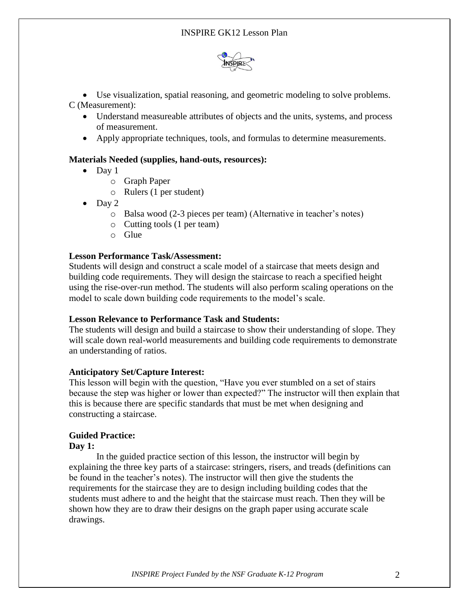

 Use visualization, spatial reasoning, and geometric modeling to solve problems. C (Measurement):

- Understand measureable attributes of objects and the units, systems, and process of measurement.
- Apply appropriate techniques, tools, and formulas to determine measurements.

# **Materials Needed (supplies, hand-outs, resources):**

- $\bullet$  Day 1
	- o Graph Paper
	- o Rulers (1 per student)
- $\bullet$  Day 2
	- o Balsa wood (2-3 pieces per team) (Alternative in teacher's notes)
	- o Cutting tools (1 per team)
	- o Glue

### **Lesson Performance Task/Assessment:**

Students will design and construct a scale model of a staircase that meets design and building code requirements. They will design the staircase to reach a specified height using the rise-over-run method. The students will also perform scaling operations on the model to scale down building code requirements to the model's scale.

### **Lesson Relevance to Performance Task and Students:**

The students will design and build a staircase to show their understanding of slope. They will scale down real-world measurements and building code requirements to demonstrate an understanding of ratios.

### **Anticipatory Set/Capture Interest:**

This lesson will begin with the question, "Have you ever stumbled on a set of stairs because the step was higher or lower than expected?" The instructor will then explain that this is because there are specific standards that must be met when designing and constructing a staircase.

# **Guided Practice:**

### **Day 1:**

In the guided practice section of this lesson, the instructor will begin by explaining the three key parts of a staircase: stringers, risers, and treads (definitions can be found in the teacher's notes). The instructor will then give the students the requirements for the staircase they are to design including building codes that the students must adhere to and the height that the staircase must reach. Then they will be shown how they are to draw their designs on the graph paper using accurate scale drawings.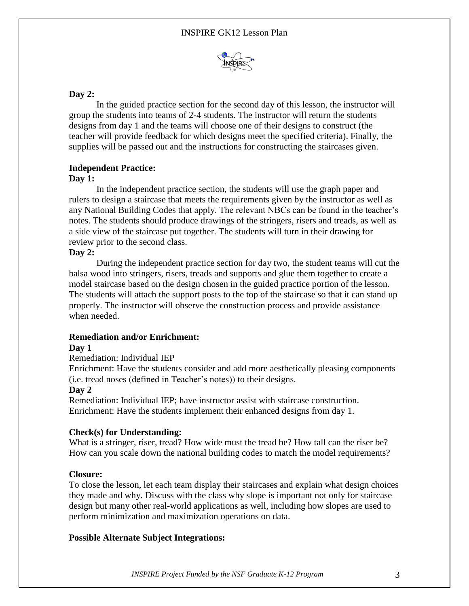

# **Day 2:**

In the guided practice section for the second day of this lesson, the instructor will group the students into teams of 2-4 students. The instructor will return the students designs from day 1 and the teams will choose one of their designs to construct (the teacher will provide feedback for which designs meet the specified criteria). Finally, the supplies will be passed out and the instructions for constructing the staircases given.

# **Independent Practice:**

### **Day 1:**

In the independent practice section, the students will use the graph paper and rulers to design a staircase that meets the requirements given by the instructor as well as any National Building Codes that apply. The relevant NBCs can be found in the teacher's notes. The students should produce drawings of the stringers, risers and treads, as well as a side view of the staircase put together. The students will turn in their drawing for review prior to the second class.

# **Day 2:**

During the independent practice section for day two, the student teams will cut the balsa wood into stringers, risers, treads and supports and glue them together to create a model staircase based on the design chosen in the guided practice portion of the lesson. The students will attach the support posts to the top of the staircase so that it can stand up properly. The instructor will observe the construction process and provide assistance when needed.

### **Remediation and/or Enrichment:**

### **Day 1**

### Remediation: Individual IEP

Enrichment: Have the students consider and add more aesthetically pleasing components (i.e. tread noses (defined in Teacher's notes)) to their designs.

### **Day 2**

Remediation: Individual IEP; have instructor assist with staircase construction. Enrichment: Have the students implement their enhanced designs from day 1.

### **Check(s) for Understanding:**

What is a stringer, riser, tread? How wide must the tread be? How tall can the riser be? How can you scale down the national building codes to match the model requirements?

### **Closure:**

To close the lesson, let each team display their staircases and explain what design choices they made and why. Discuss with the class why slope is important not only for staircase design but many other real-world applications as well, including how slopes are used to perform minimization and maximization operations on data.

# **Possible Alternate Subject Integrations:**

*INSPIRE Project Funded by the NSF Graduate K-12 Program* 3